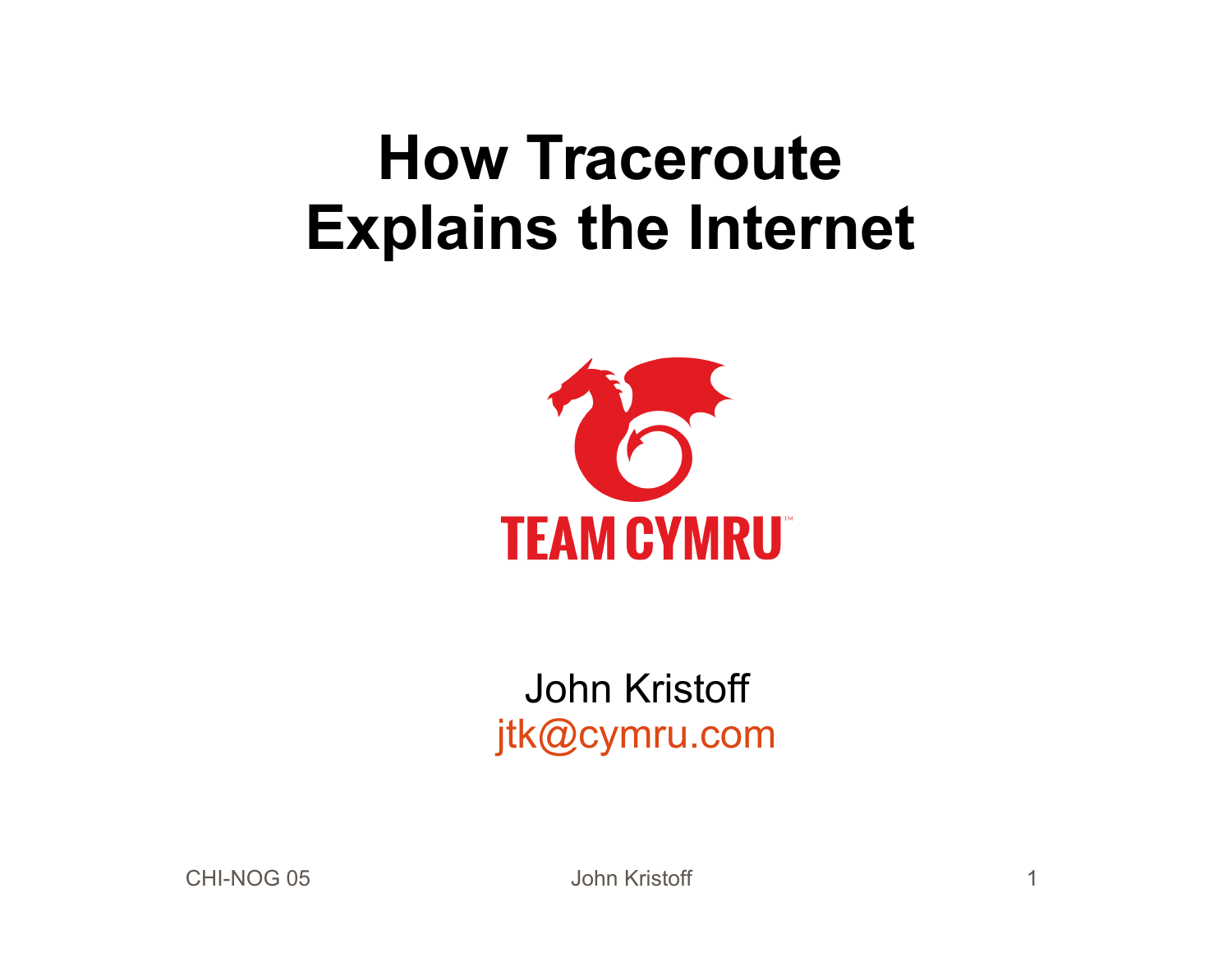## **How Traceroute Explains the Internet**



#### John Kristoff [jtk@cymru.com](mailto:jtk@cymru.com)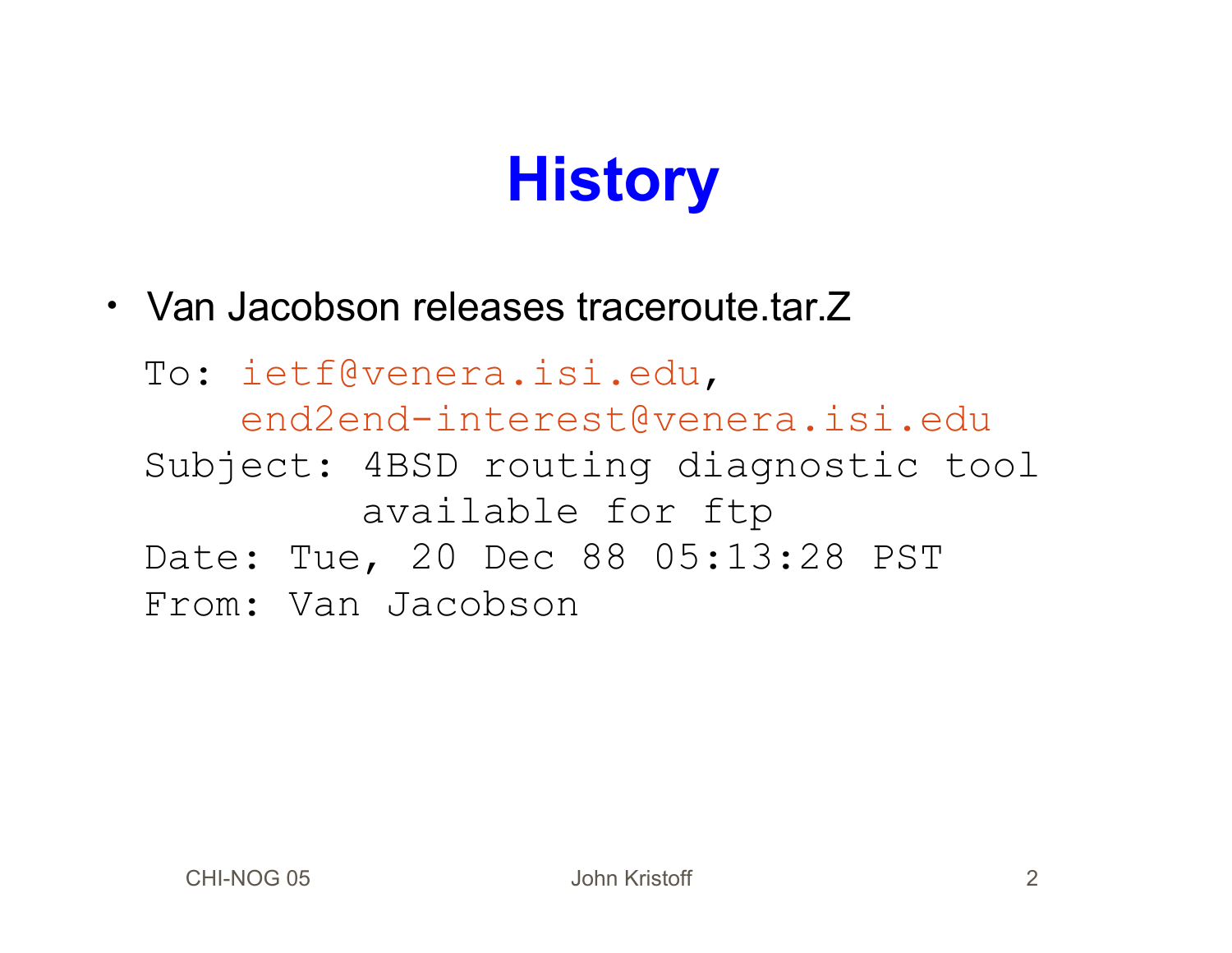# **History**

• Van Jacobson releases traceroute.tar.Z

 To: [ietf@venera.isi.edu](mailto:ietf@venera.isi.edu), [end2end-interest@venera.isi.edu](mailto:end2end-interest@venera.isi.edu) Subject: 4BSD routing diagnostic tool available for ftp Date: Tue, 20 Dec 88 05:13:28 PST From: Van Jacobson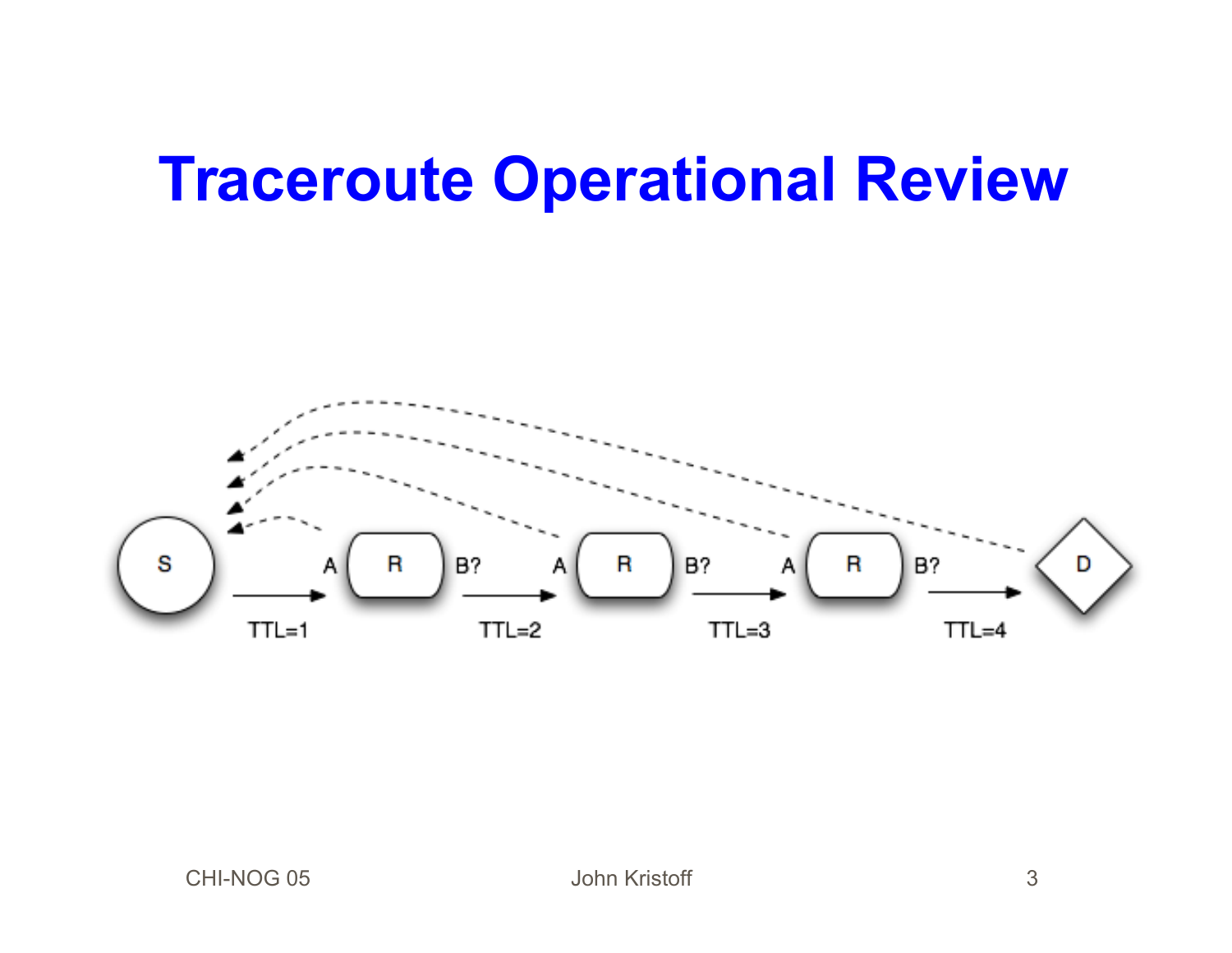#### **Traceroute Operational Review**

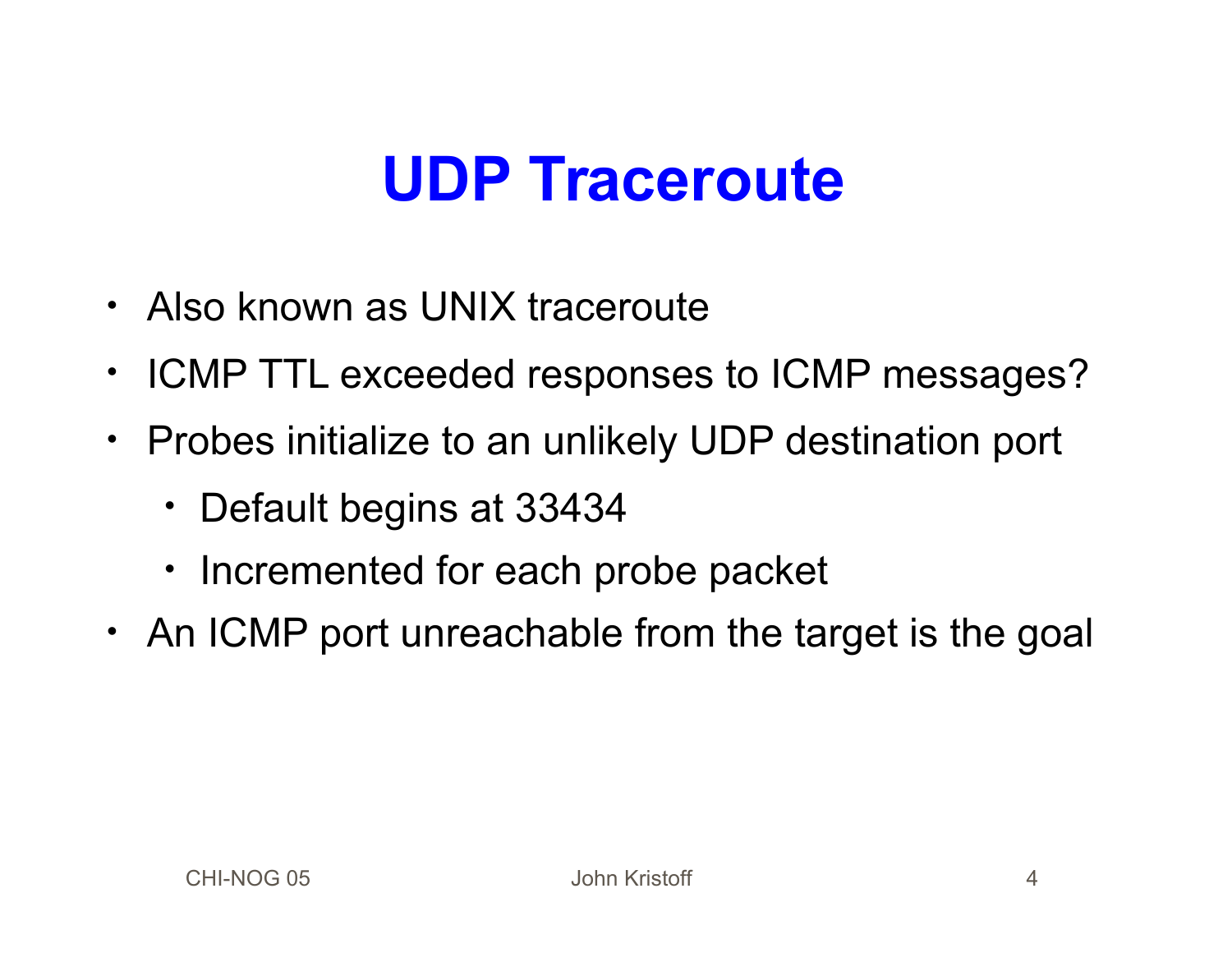#### **UDP Traceroute**

- Also known as UNIX traceroute
- ICMP TTL exceeded responses to ICMP messages?
- Probes initialize to an unlikely UDP destination port
	- Default begins at 33434
	- Incremented for each probe packet
- An ICMP port unreachable from the target is the goal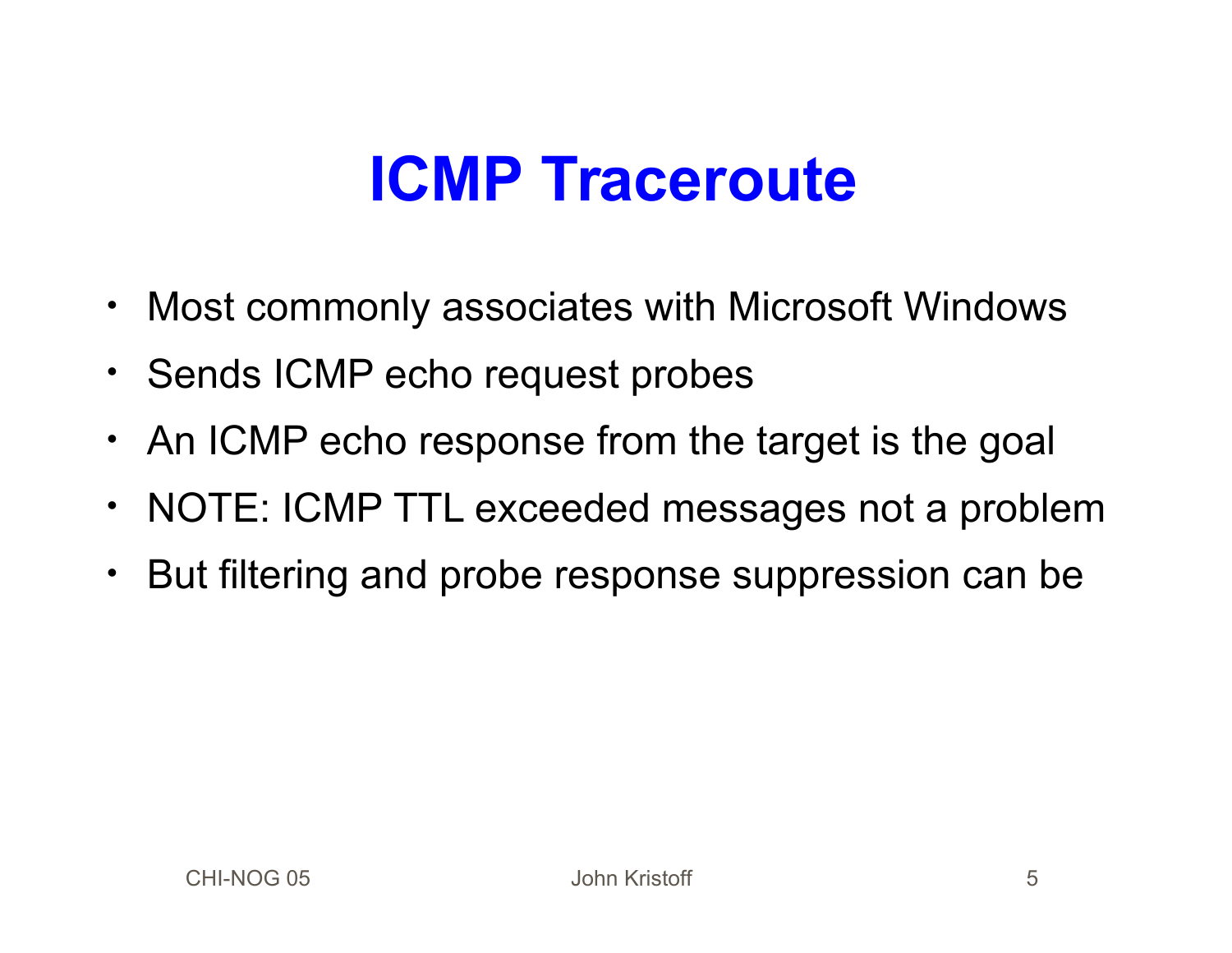## **ICMP Traceroute**

- Most commonly associates with Microsoft Windows
- Sends ICMP echo request probes
- An ICMP echo response from the target is the goal
- NOTE: ICMP TTL exceeded messages not a problem
- But filtering and probe response suppression can be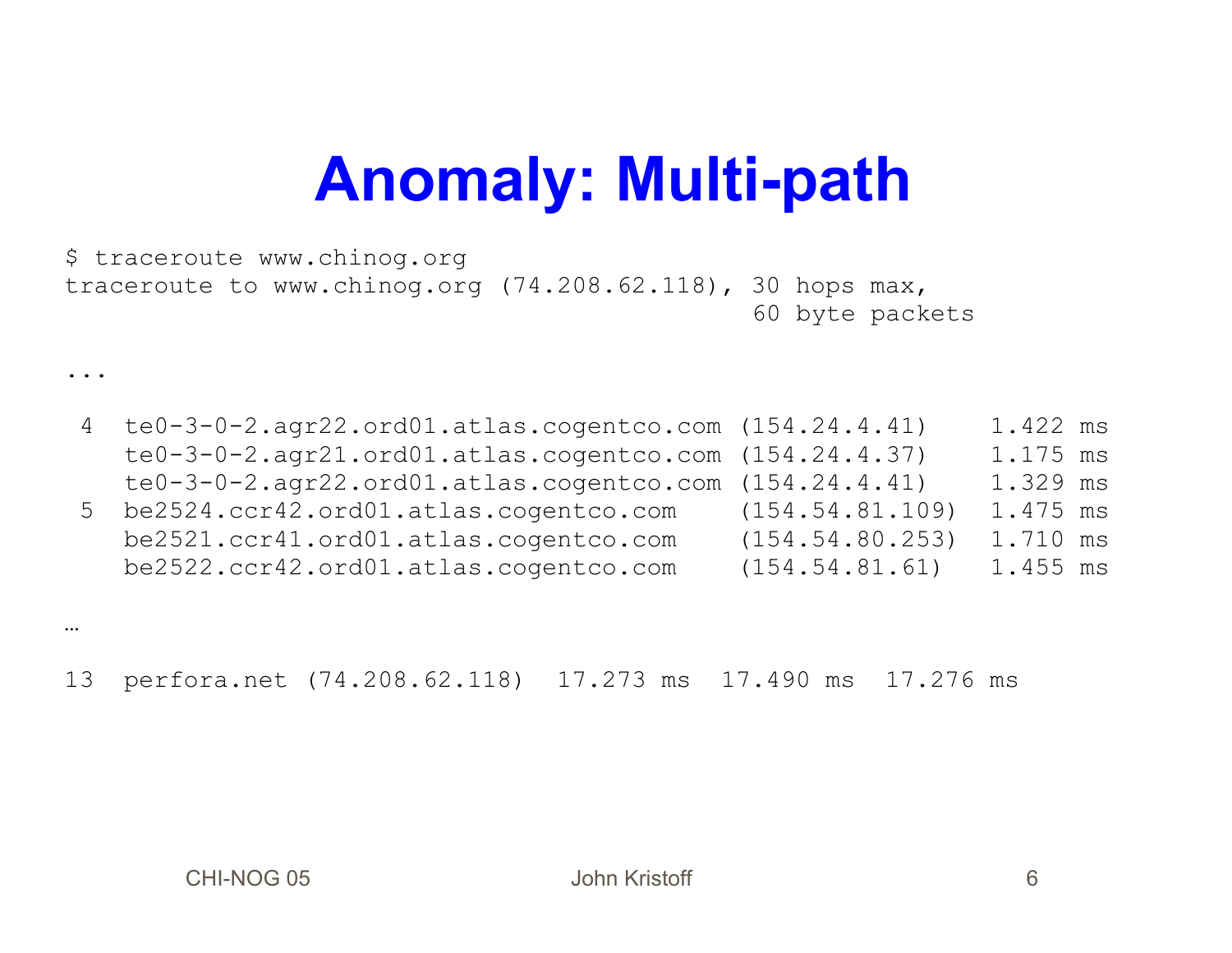### **Anomaly: Multi-path**

\$ traceroute www.chinog.org traceroute to www.chinog.org (74.208.62.118), 30 hops max, 60 byte packets

4 te0-3-0-2.agr22.ord01.atlas.cogentco.com (154.24.4.41) 1.422 ms te0-3-0-2.agr21.ord01.atlas.cogentco.com (154.24.4.37) 1.175 ms te0-3-0-2.agr22.ord01.atlas.cogentco.com (154.24.4.41) 1.329 ms 5 be2524.ccr42.ord01.atlas.cogentco.com (154.54.81.109) 1.475 ms be2521.ccr41.ord01.atlas.cogentco.com (154.54.80.253) 1.710 ms be2522.ccr42.ord01.atlas.cogentco.com (154.54.81.61) 1.455 ms

…

...

13 perfora.net (74.208.62.118) 17.273 ms 17.490 ms 17.276 ms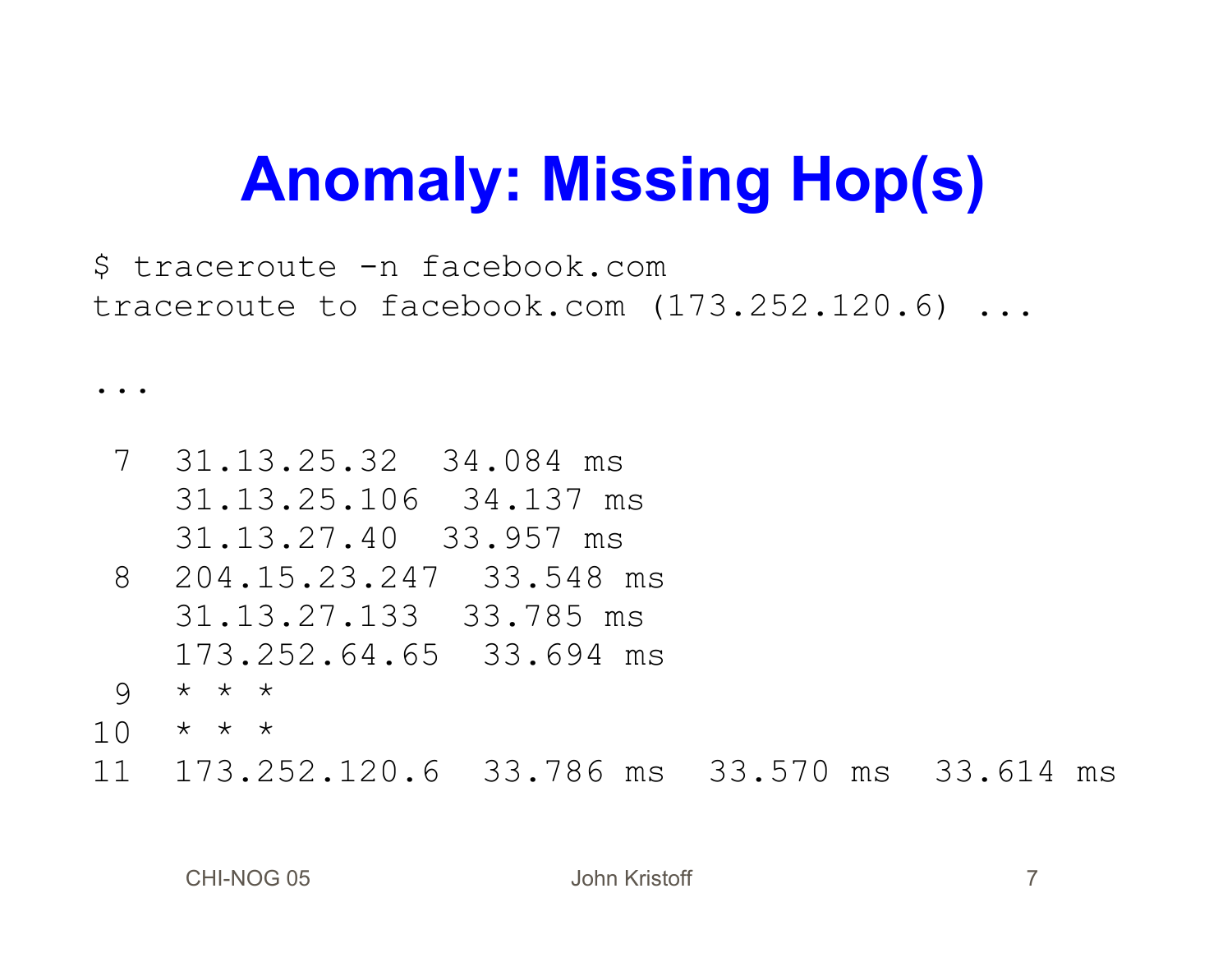# **Anomaly: Missing Hop(s)**

\$ traceroute -n facebook.com traceroute to facebook.com (173.252.120.6) ...

7 31.13.25.32 34.084 ms 31.13.25.106 34.137 ms 31.13.27.40 33.957 ms 8 204.15.23.247 33.548 ms 31.13.27.133 33.785 ms 173.252.64.65 33.694 ms 9 \* \* \*  $10 \times x \times x$ 11 173.252.120.6 33.786 ms 33.570 ms 33.614 ms

...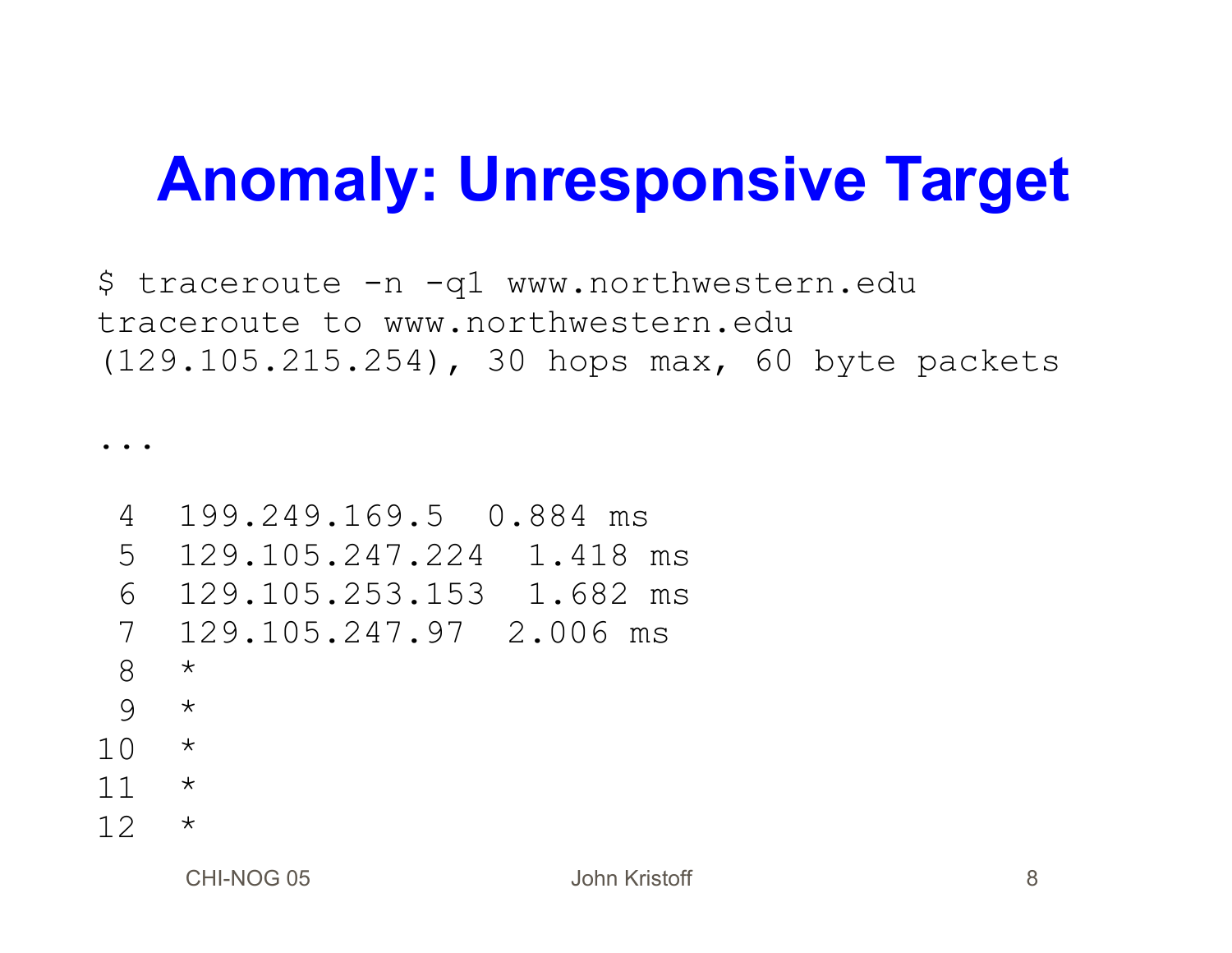## **Anomaly: Unresponsive Target**

\$ traceroute -n -q1 www.northwestern.edu traceroute to www.northwestern.edu (129.105.215.254), 30 hops max, 60 byte packets

...

```
4 199.249.169.5 0.884 ms
5 129.105.247.224 1.418 ms
6 129.105.253.153 1.682 ms
7 129.105.247.97 2.006 ms
8 *
9 *
10 *11 \times12 *
```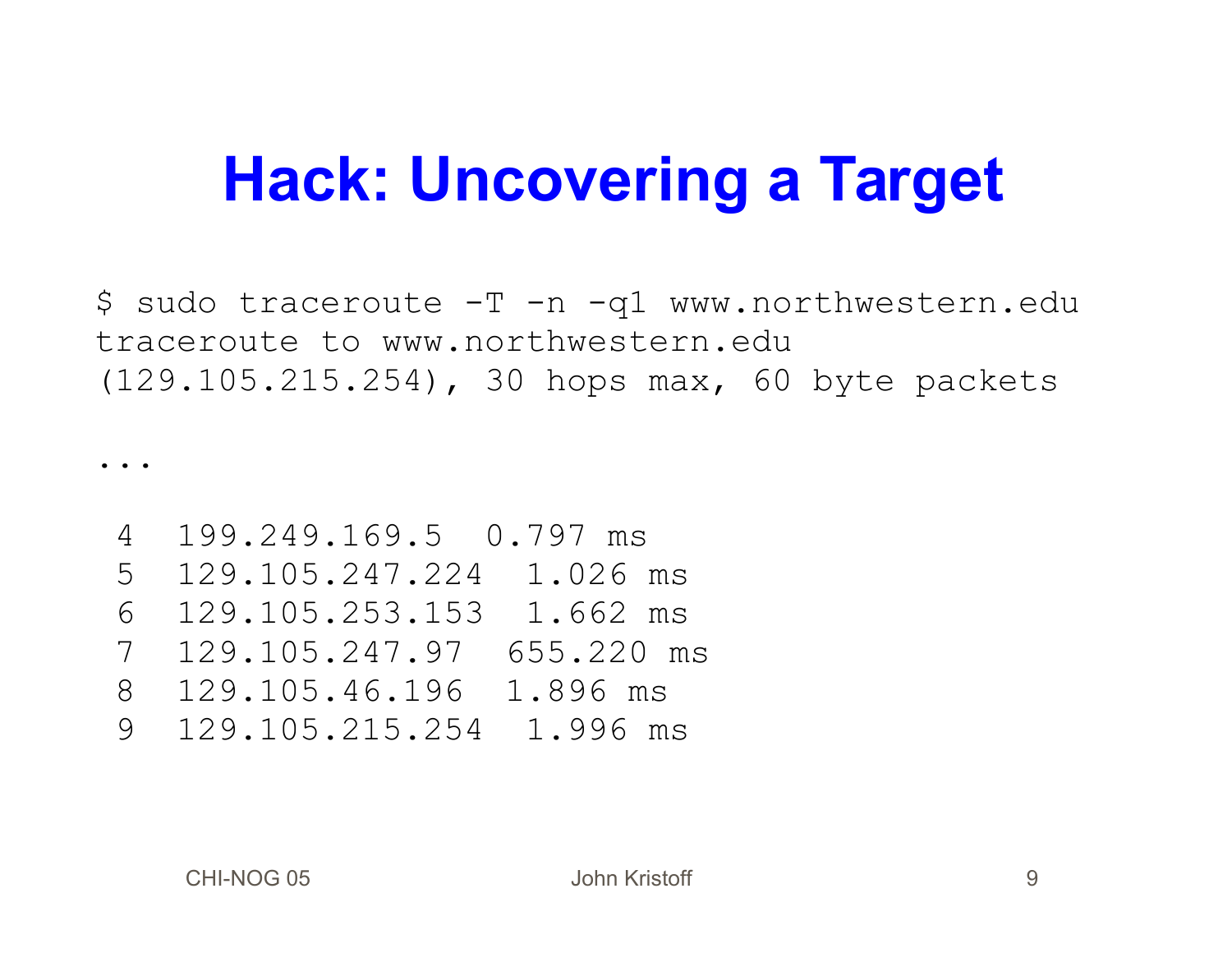### **Hack: Uncovering a Target**

\$ sudo traceroute -T -n -q1 www.northwestern.edu traceroute to www.northwestern.edu (129.105.215.254), 30 hops max, 60 byte packets

 $\bullet$  .  $\bullet$ 

4 199.249.169.5 0.797 ms 5 129.105.247.224 1.026 ms 6 129.105.253.153 1.662 ms 7 129.105.247.97 655.220 ms 8 129.105.46.196 1.896 ms 9 129.105.215.254 1.996 ms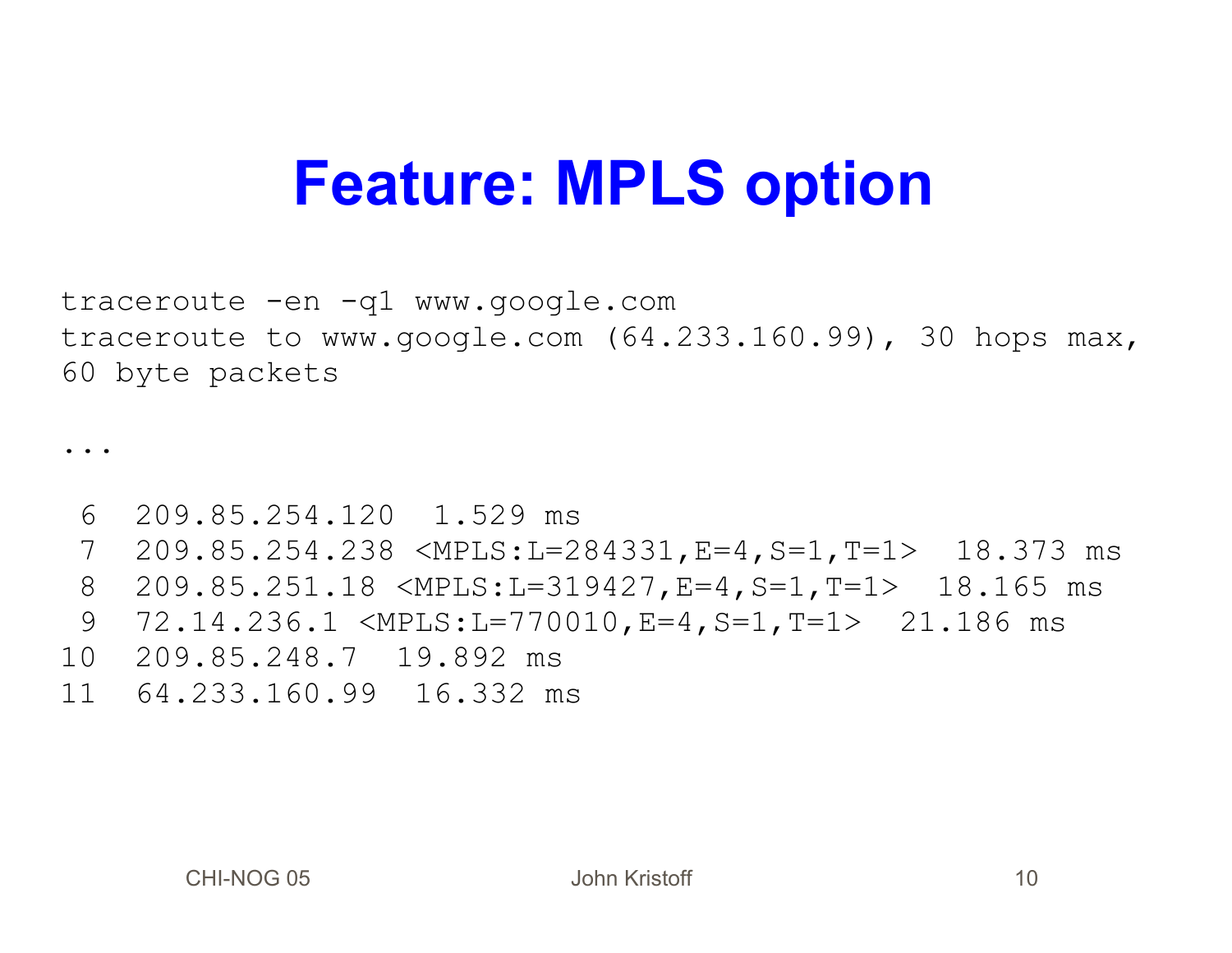#### **Feature: MPLS option**

traceroute -en -q1 www.google.com traceroute to www.google.com (64.233.160.99), 30 hops max, 60 byte packets

...

6 209.85.254.120 1.529 ms

7 209.85.254.238 <MPLS:L=284331,E=4,S=1,T=1> 18.373 ms

8 209.85.251.18 <MPLS:L=319427,E=4,S=1,T=1> 18.165 ms

- 9 72.14.236.1 <MPLS:L=770010,E=4,S=1,T=1> 21.186 ms
- 10 209.85.248.7 19.892 ms
- 11 64.233.160.99 16.332 ms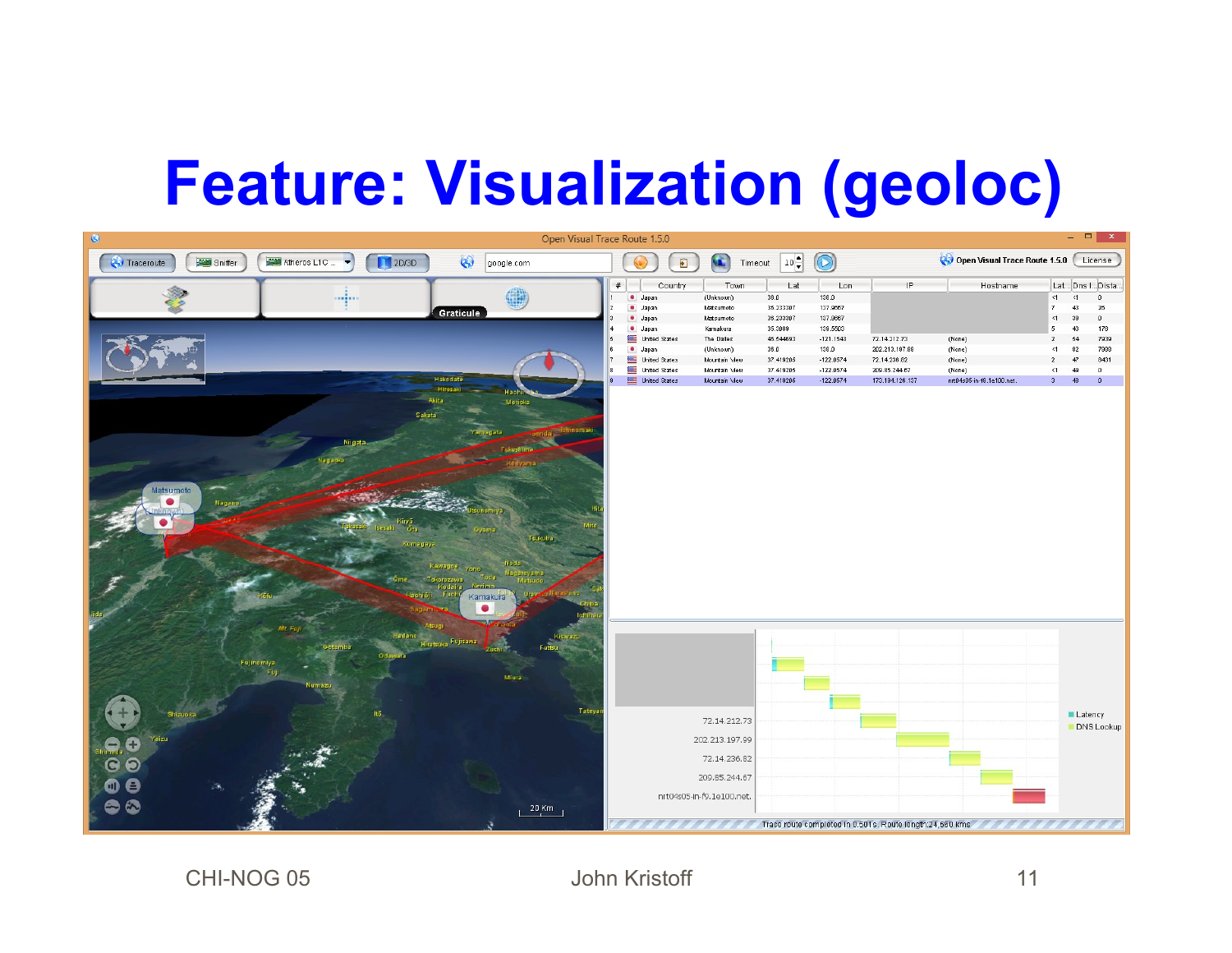## **Feature: Visualization (geoloc)**



CHI-NOG 05 John Kristoff 11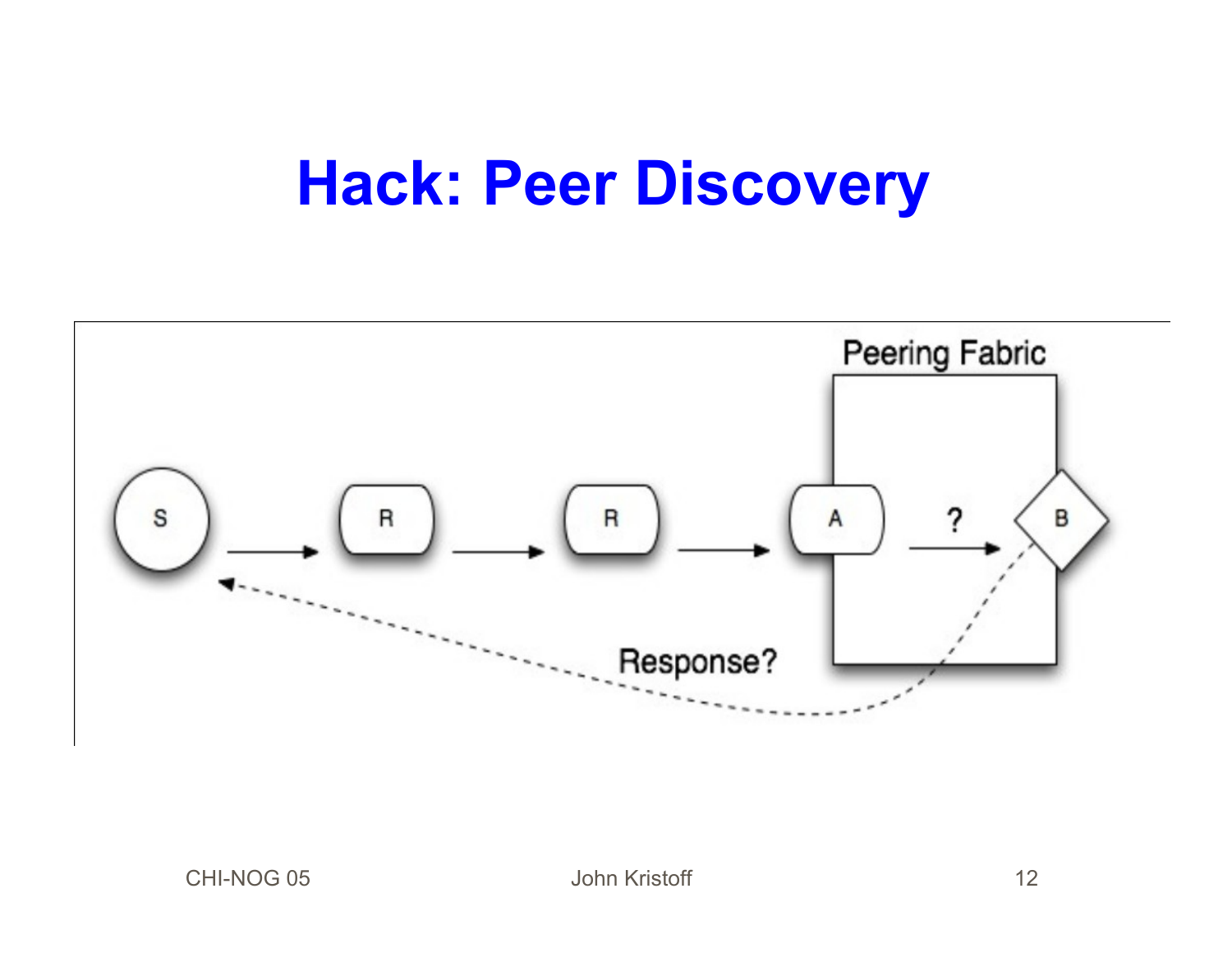#### **Hack: Peer Discovery**

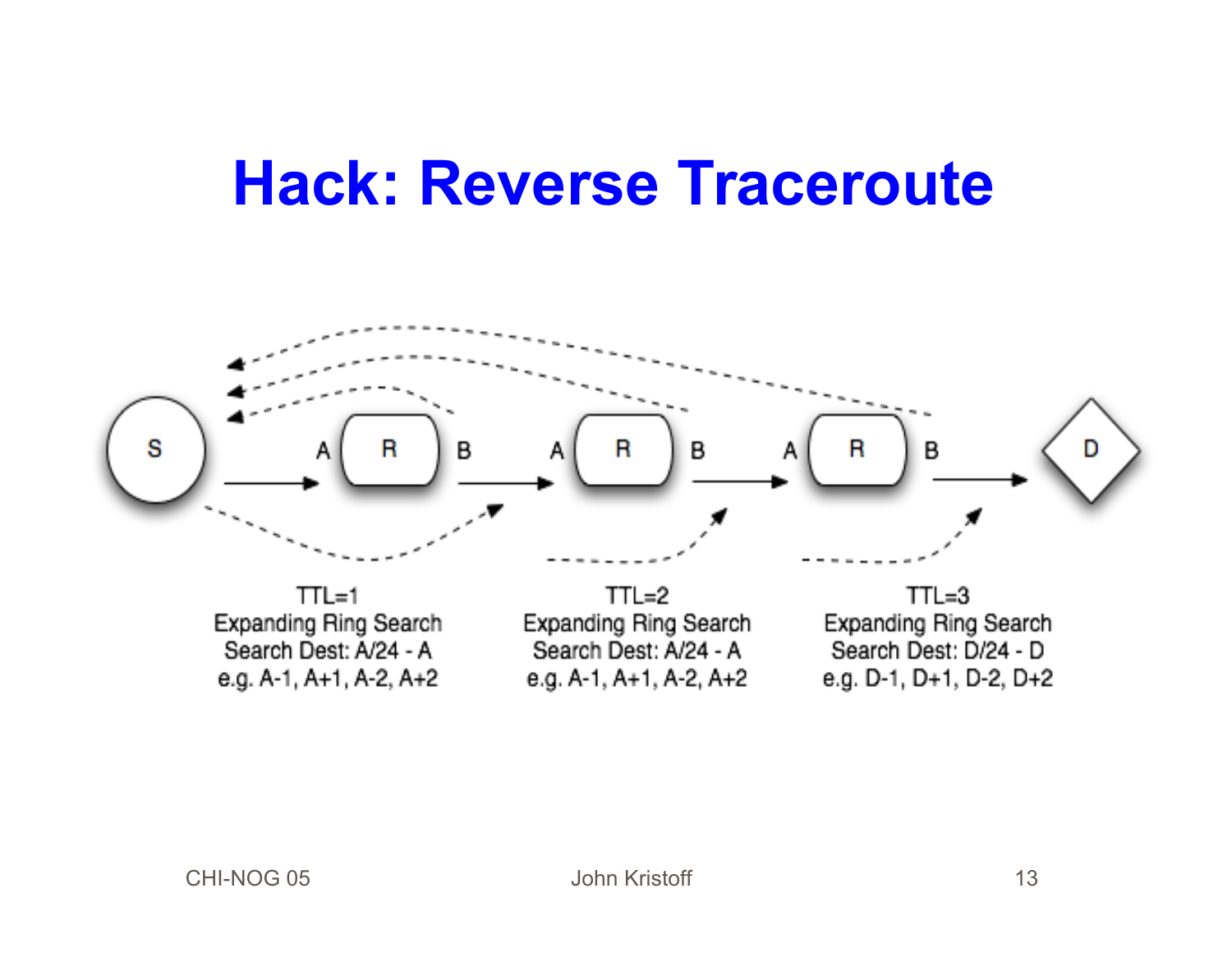#### **Hack: Reverse Traceroute**

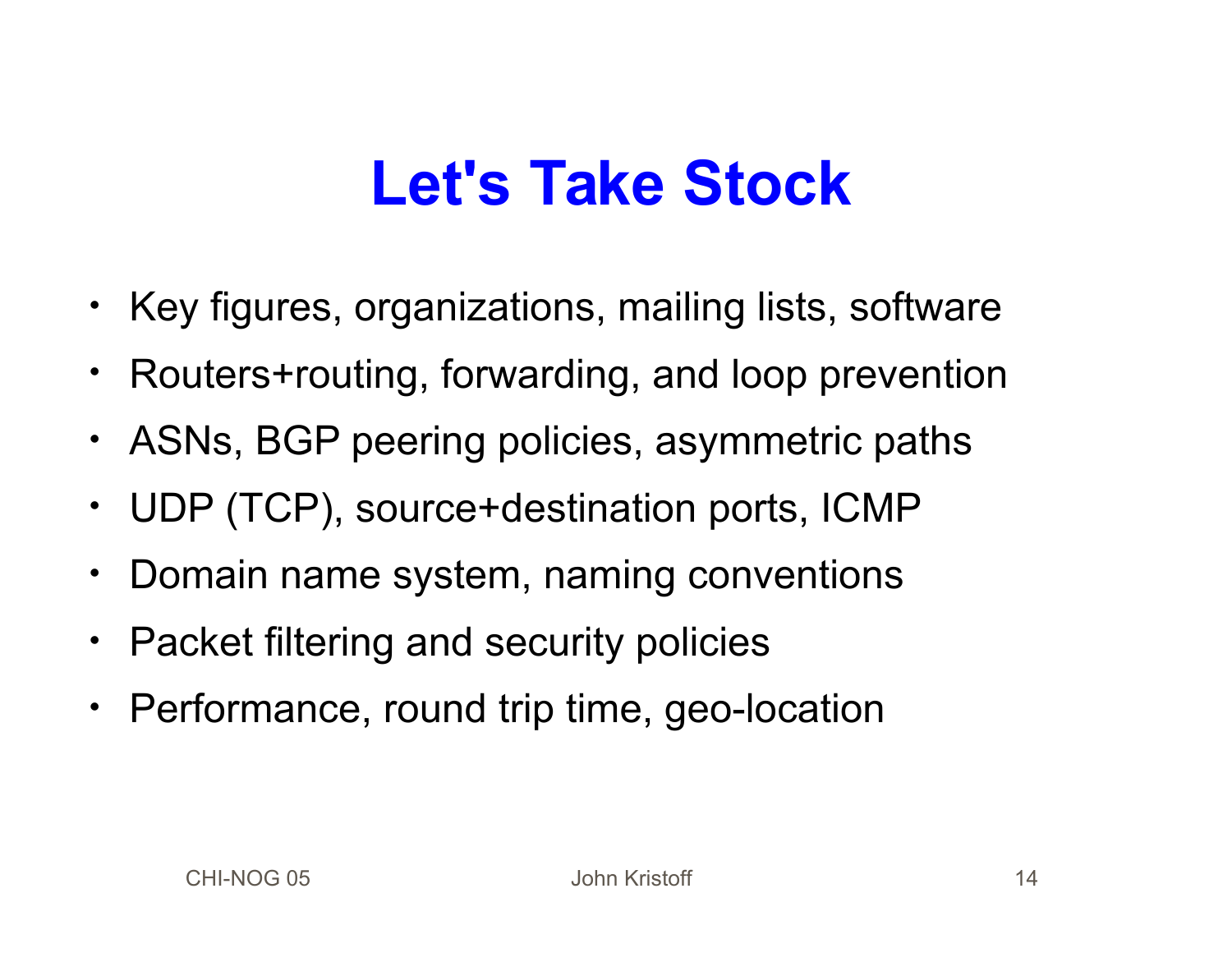### **Let's Take Stock**

- Key figures, organizations, mailing lists, software
- Routers+routing, forwarding, and loop prevention
- ASNs, BGP peering policies, asymmetric paths
- UDP (TCP), source+destination ports, ICMP
- Domain name system, naming conventions
- Packet filtering and security policies
- Performance, round trip time, geo-location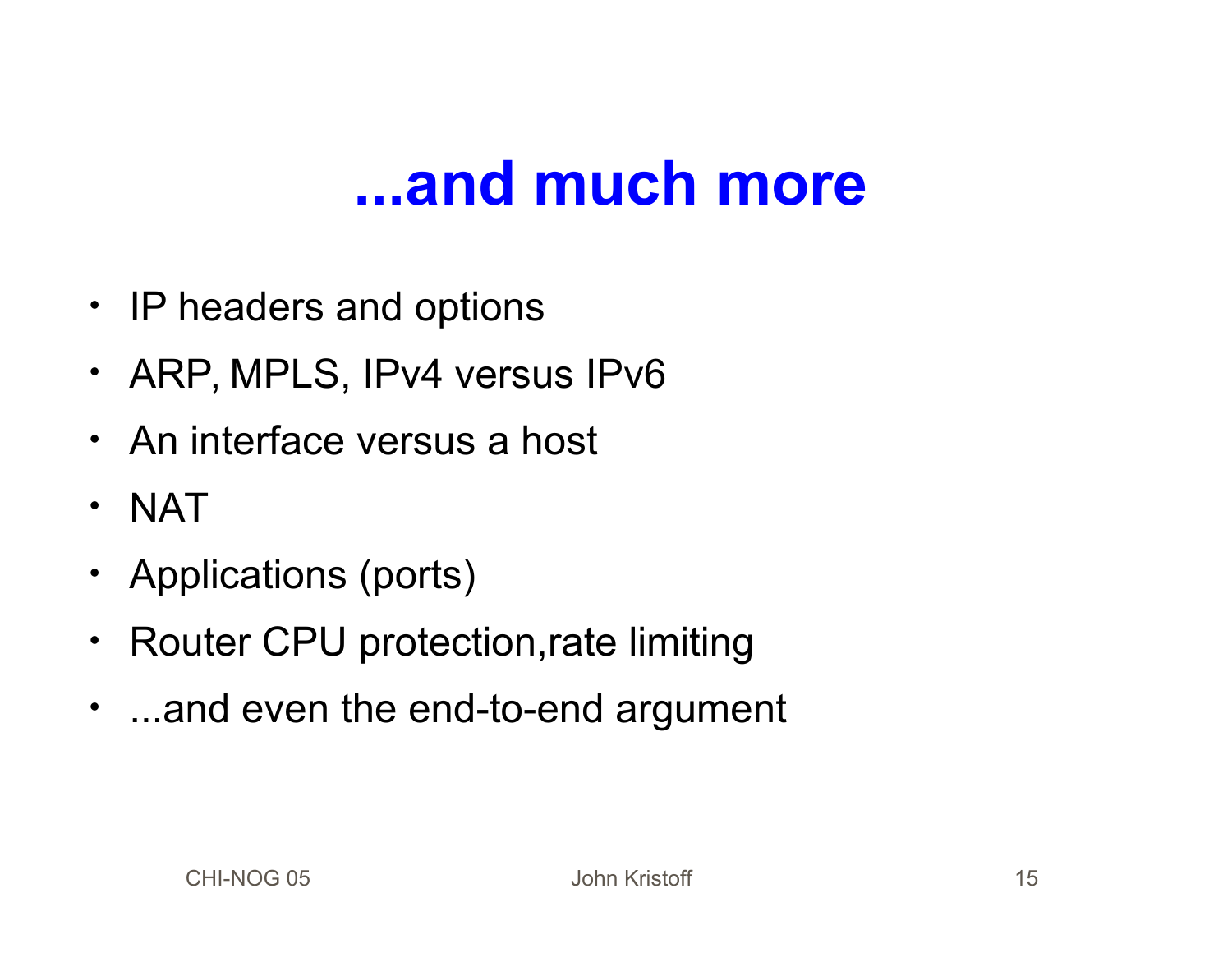#### **...and much more**

- IP headers and options
- ARP, MPLS, IPv4 versus IPv6
- An interface versus a host
- NAT
- Applications (ports)
- Router CPU protection,rate limiting
- ...and even the end-to-end argument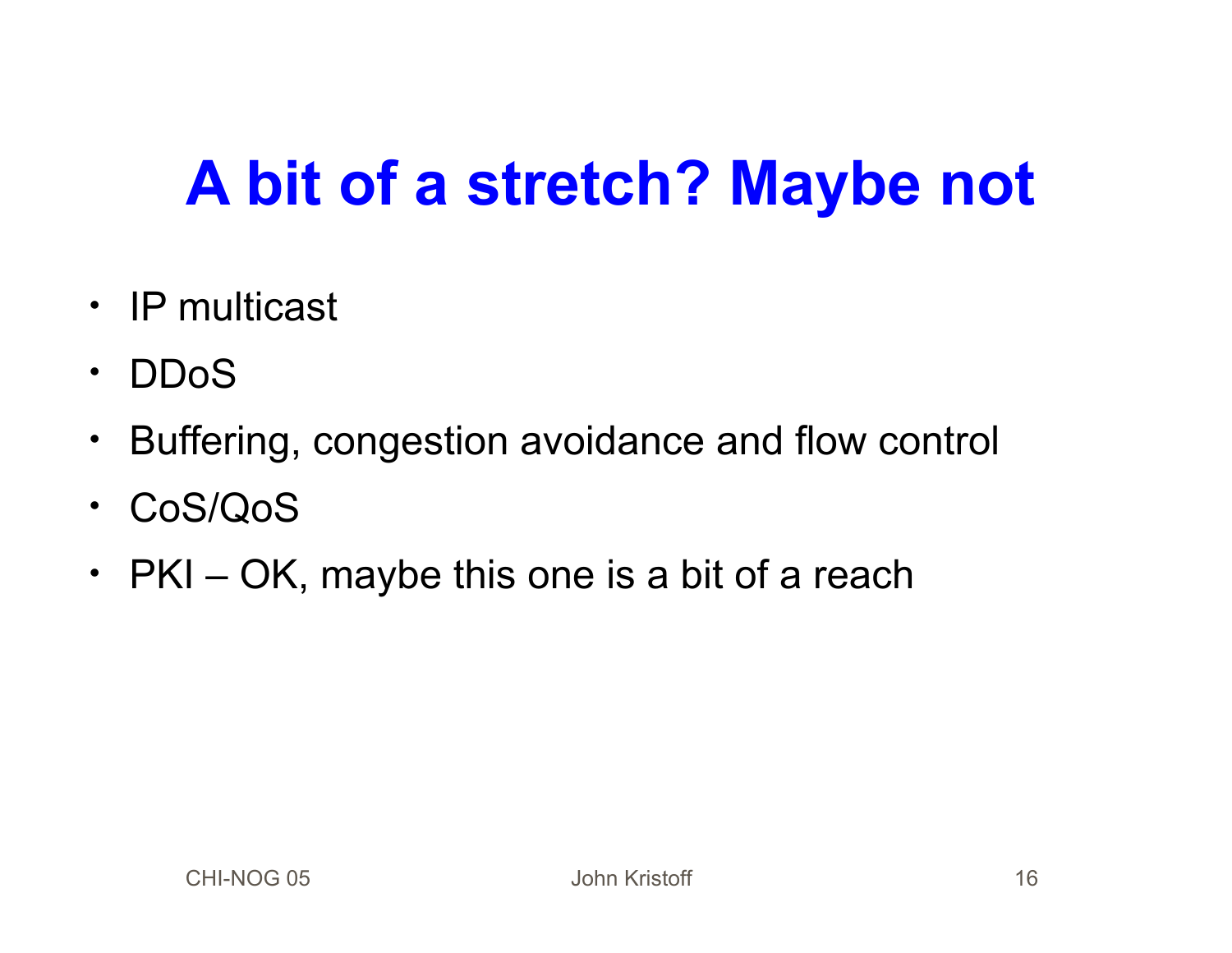# **A bit of a stretch? Maybe not**

- IP multicast
- DDoS
- Buffering, congestion avoidance and flow control
- CoS/QoS
- PKI OK, maybe this one is a bit of a reach